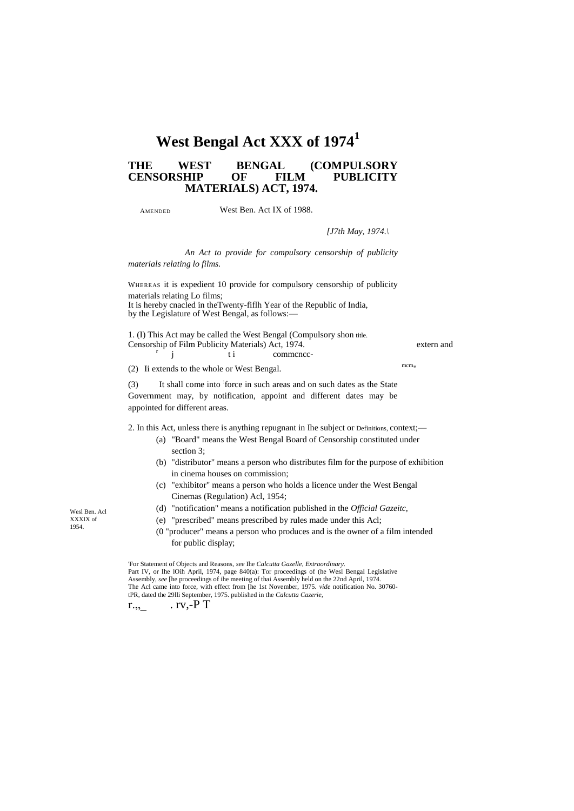# **West Bengal Act XXX of 1974<sup>1</sup>**

# **THE WEST BENGAL (COMPULSORY CENSORSHIP OF MATERIALS) ACT, 1974.**

AMENDED

## West Ben. Act IX of 1988.

#### *[J7th May, 1974.\*

*An Act to provide for compulsory censorship of publicity materials relating lo films.*

WHEREAS it is expedient 10 provide for compulsory censorship of publicity materials relating Lo films; It is hereby cnacled in theTwenty-fiflh Year of the Republic of India, by the Legislature of West Bengal, as follows:—

1. (I) This Act may be called the West Bengal (Compulsory shon title. Censorship of Film Publicity Materials) Act, 1974. extern and r

j ti commence-

(2) Ii extends to the whole or West Bengal.

(3) It shall come into : force in such areas and on such dates as the State Government may, by notification, appoint and different dates may be appointed for different areas.

2. In this Act, unless there is anything repugnant in Ihe subject or Definitions, context;—

- (a) "Board" means the West Bengal Board of Censorship constituted under section 3;
- (b) "distributor" means a person who distributes film for the purpose of exhibition in cinema houses on commission;
- (c) "exhibitor" means a person who holds a licence under the West Bengal Cinemas (Regulation) Acl, 1954;
- (d) "notification" means a notification published in the *Official Gazeitc,*
- (e) "prescribed" means prescribed by rules made under this Acl;
- (0 "producer" means a person who produces and is the owner of a film intended for public display;

'For Statement of Objects and Reasons, *see* Ihe *Calcutta Gazelle, Extraordinary.* Part IV, or Ihe lOih April, 1974, page 840(a): Tor proceedings of (he Wesl Bengal Legislative Assembly, *see* [he proceedings of ihe meeting of thai Assembly held on the 22nd April, 1974. The Acl came into force, with effect from [he 1st November, 1975. *vide* notification No. 30760 tPR, dated the 29lli September, 1975. published in the *Calcutta Cazerie,*

 $r_{\cdot,\cdot}$  .  $rv,$ -P T

Wesl Ben. Acl XXXIX of 1954.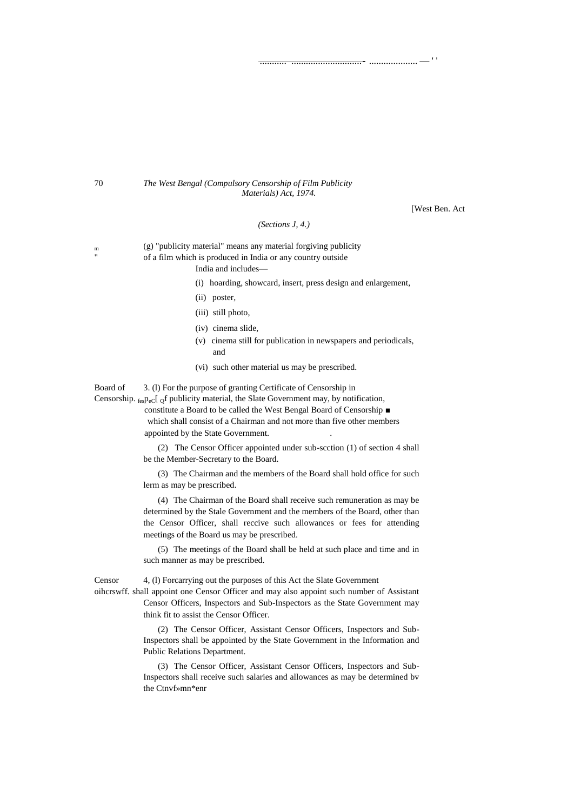## 70 *The West Bengal (Compulsory Censorship of Film Publicity Materials) Act, 1974.*

[West Ben. Act

........... .............................- .................... — ' '

## *(Sections J, 4.)*

<sup>m</sup> (g) "publicity material" means any material forgiving publicity of a film which is produced in India or any country outside India and includes—

(i) hoarding, showcard, insert, press design and enlargement,

- (ii) poster,
- (iii) still photo,
- (iv) cinema slide,
- (v) cinema still for publication in newspapers and periodicals, and
- (vi) such other material us may be prescribed.

Board of 3. (l) For the purpose of granting Certificate of Censorship in

Censorship.  $_{\text{fesPe}}$ C of publicity material, the Slate Government may, by notification,

constitute a Board to be called the West Bengal Board of Censorship ■ which shall consist of a Chairman and not more than five other members appointed by the State Government. .

(2) The Censor Officer appointed under sub-scction (1) of section 4 shall be the Member-Secretary to the Board.

(3) The Chairman and the members of the Board shall hold office for such lerm as may be prescribed.

(4) The Chairman of the Board shall receive such remuneration as may be determined by the Stale Government and the members of the Board, other than the Censor Officer, shall reccive such allowances or fees for attending meetings of the Board us may be prescribed.

(5) The meetings of the Board shall be held at such place and time and in such manner as may be prescribed.

Censor 4, (l) Forcarrying out the purposes of this Act the Slate Government

oihcrswff. shall appoint one Censor Officer and may also appoint such number of Assistant Censor Officers, Inspectors and Sub-Inspectors as the State Government may think fit to assist the Censor Officer.

> (2) The Censor Officer, Assistant Censor Officers, Inspectors and Sub-Inspectors shall be appointed by the State Government in the Information and Public Relations Department.

> (3) The Censor Officer, Assistant Censor Officers, Inspectors and Sub-Inspectors shall receive such salaries and allowances as may be determined bv the Ctnvf»mn\*enr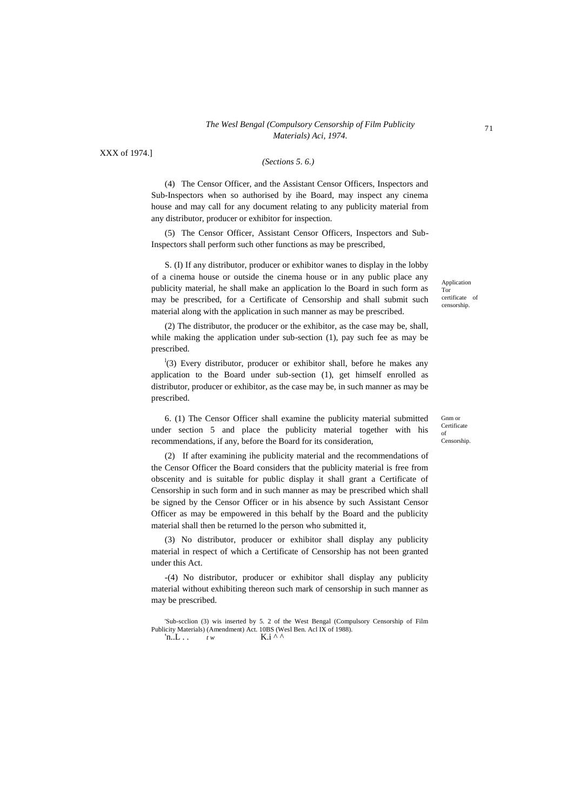# *The Wesl Bengal (Compulsory Censorship of Film Publicity Materials) Aci, 1974.*

XXX of 1974.]

# *(Sections 5. 6.)*

(4) The Censor Officer, and the Assistant Censor Officers, Inspectors and Sub-Inspectors when so authorised by ihe Board, may inspect any cinema house and may call for any document relating to any publicity material from any distributor, producer or exhibitor for inspection.

(5) The Censor Officer, Assistant Censor Officers, Inspectors and Sub-Inspectors shall perform such other functions as may be prescribed,

S. (I) If any distributor, producer or exhibitor wanes to display in the lobby of a cinema house or outside the cinema house or in any public place any publicity material, he shall make an application lo the Board in such form as may be prescribed, for a Certificate of Censorship and shall submit such material along with the application in such manner as may be prescribed.

(2) The distributor, the producer or the exhibitor, as the case may be, shall, while making the application under sub-section (1), pay such fee as may be prescribed.

 $\frac{1}{3}$  Every distributor, producer or exhibitor shall, before he makes any application to the Board under sub-section (1), get himself enrolled as distributor, producer or exhibitor, as the case may be, in such manner as may be prescribed.

6. (1) The Censor Officer shall examine the publicity material submitted under section 5 and place the publicity material together with his recommendations, if any, before the Board for its consideration,

(2) If after examining ihe publicity material and the recommendations of the Censor Officer the Board considers that the publicity material is free from obscenity and is suitable for public display it shall grant a Certificate of Censorship in such form and in such manner as may be prescribed which shall be signed by the Censor Officer or in his absence by such Assistant Censor Officer as may be empowered in this behalf by the Board and the publicity material shall then be returned lo the person who submitted it,

(3) No distributor, producer or exhibitor shall display any publicity material in respect of which a Certificate of Censorship has not been granted under this Act.

-(4) No distributor, producer or exhibitor shall display any publicity material without exhibiting thereon such mark of censorship in such manner as may be prescribed.

'n..L . .  $t w$  K.i ^ ^

Application Tor certificate of censorship.

Gnm or **Certificate** of Censorship.

<sup>&#</sup>x27;Sub-scclion (3) wis inserted by 5. 2 of the West Bengal (Compulsory Censorship of Film Publicity Materials) (Amendment) Act. 10BS (Wesl Ben. Acl IX of 1988).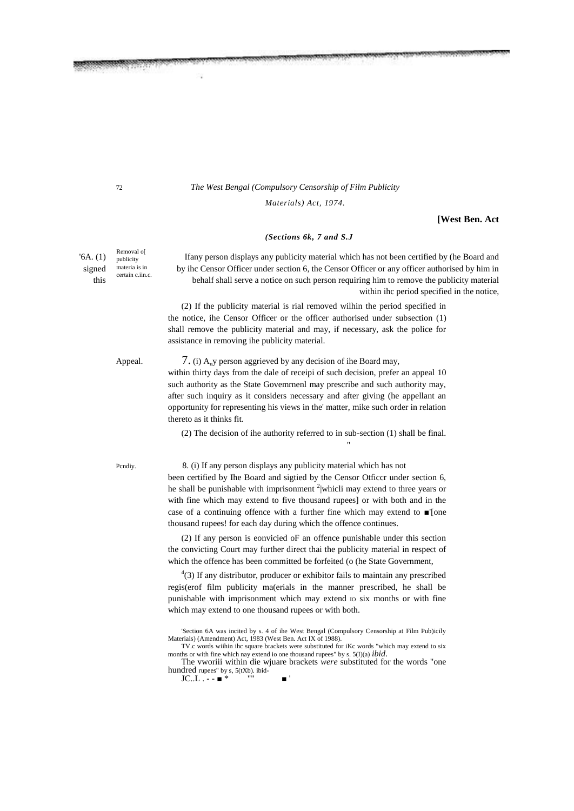# 72 *The West Bengal (Compulsory Censorship of Film Publicity*

*Materials) Act, 1974.*

**[West Ben. Act**

## *(Sections 6k, 7 and S.J*

'6A. (1) Ifany person displays any publicity material which has not been certified by (he Board and signed materia is in by ihc Censor Officer under section 6, the Censor Officer or any officer authorised by him in this behalf shall serve a notice on such person requiring him to remove the publicity material within ihc period specified in the notice,

> (2) If the publicity material is rial removed wilhin the period specified in the notice, ihe Censor Officer or the officer authorised under subsection (1) shall remove the publicity material and may, if necessary, ask the police for assistance in removing ihe publicity material.

Appeal.  $7. (i)$  A<sub>n</sub>y person aggrieved by any decision of ihe Board may,

within thirty days from the dale of receipi of such decision, prefer an appeal 10 such authority as the State Govemrnenl may prescribe and such authority may, after such inquiry as it considers necessary and after giving (he appellant an opportunity for representing his views in the' matter, mike such order in relation thereto as it thinks fit.

(2) The decision of ihe authority referred to in sub-section (1) shall be final.

"

### Pcndiy. 8. (i) If any person displays any publicity material which has not

been certified by Ihe Board and sigtied by the Censor Otficcr under section 6, he shall be punishable with imprisonment  $2$  whicli may extend to three years or with fine which may extend to five thousand rupees] or with both and in the case of a continuing offence with a further fine which may extend to ■'[one thousand rupees! for each day during which the offence continues.

(2) If any person is eonvicied oF an offence punishable under this section the convicting Court may further direct thai the publicity material in respect of which the offence has been committed be forfeited (o (he State Government,

4 (3) If any distributor, producer or exhibitor fails to maintain any prescribed regis(erof film publicity ma(erials in the manner prescribed, he shall be punishable with imprisonment which may extend to six months or with fine which may extend to one thousand rupees or with both.

The vworiii within die wjuare brackets *were* substituted for the words "one hundred rupees" by s, 5(tXb). ibid- $JC.L. - =$ 

Removal o[ publicity materia is in certain c.iin.c.

<sup>&#</sup>x27;Section 6A was incited by s. 4 of ihe West Bengal (Compulsory Censorship at Film Pub)icily Materials) (Amendment) Act, 1983 (West Ben. Act IX of 1988).

TV.c words wiihin ihc square brackets were substituted for iKc words "which may extend to six months or with fine which nay extend io one thousand rupees" by s. 5(I)(a) *ibid.*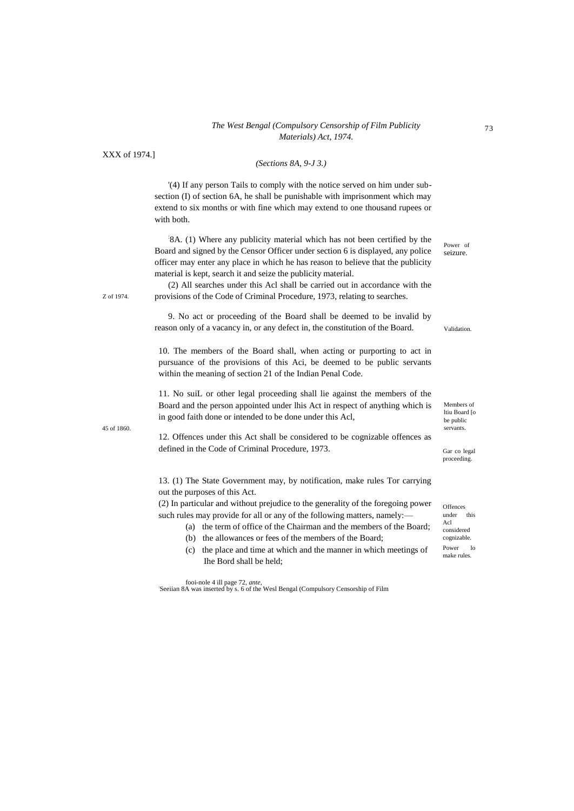# *The West Bengal (Compulsory Censorship of Film Publicity Materials) Act, 1974.*

XXX of 1974.]

# *(Sections 8A, 9-J 3.)*

'(4) If any person Tails to comply with the notice served on him under subsection (I) of section 6A, he shall be punishable with imprisonment which may extend to six months or with fine which may extend to one thousand rupees or with both.

: 8A. (1) Where any publicity material which has not been certified by the Board and signed by the Censor Officer under section 6 is displayed, any police officer may enter any place in which he has reason to believe that the publicity material is kept, search it and seize the publicity material.

(2) All searches under this Acl shall be carried out in accordance with the provisions of the Code of Criminal Procedure, 1973, relating to searches.

9. No act or proceeding of the Board shall be deemed to be invalid by reason only of a vacancy in, or any defect in, the constitution of the Board.

10. The members of the Board shall, when acting or purporting to act in pursuance of the provisions of this Aci, be deemed to be public servants within the meaning of section 21 of the Indian Penal Code.

11. No suiL or other legal proceeding shall lie against the members of the Board and the person appointed under lhis Act in respect of anything which is in good faith done or intended to be done under this Acl,

45 of 1860. servants.

Z of 1974.

12. Offences under this Act shall be considered to be cognizable offences as defined in the Code of Criminal Procedure, 1973.

13. (1) The State Government may, by notification, make rules Tor carrying out the purposes of this Act.

(2) In particular and without prejudice to the generality of the foregoing power such rules may provide for all or any of the following matters, namely:—

- (a) the term of office of the Chairman and the members of the Board;
- (b) the allowances or fees of the members of the Board;
- (c) the place and time at which and the manner in which meetings of Ihe Bord shall be held;

fooi-nole 4 ill page 72, *ante,* : Seeiian 8A was inserted by s. 6 of the Wesl Bengal (Compulsory Censorship of Film

Power of seizure.

Validation.

Members of ltiu Board [o be public<br>servants.

Gar co legal proceeding.

**Offences** under this Acl considered cognizable. Power lo make rules.